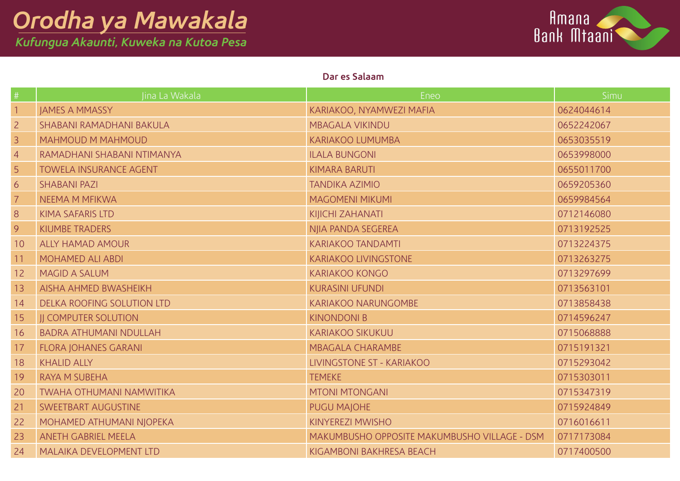*Kufungua Akaunti, Kuweka na Kutoa Pesa*



### **Dar es Salaam**

|                | Jina La Wakala                  | Eneo                                         | Simu       |
|----------------|---------------------------------|----------------------------------------------|------------|
|                | JAMES A MMASSY                  | KARIAKOO, NYAMWEZI MAFIA                     | 0624044614 |
| $\overline{2}$ | SHABANI RAMADHANI BAKULA        | <b>MBAGALA VIKINDU</b>                       | 0652242067 |
| 3              | <b>MAHMOUD M MAHMOUD</b>        | <b>KARIAKOO LUMUMBA</b>                      | 0653035519 |
| $\overline{4}$ | RAMADHANI SHABANI NTIMANYA      | <b>ILALA BUNGONI</b>                         | 0653998000 |
| 5              | TOWELA INSURANCE AGENT          | <b>KIMARA BARUTI</b>                         | 0655011700 |
| 6              | <b>SHABANI PAZI</b>             | <b>TANDIKA AZIMIO</b>                        | 0659205360 |
|                | NEEMA M MFIKWA                  | <b>MAGOMENI MIKUMI</b>                       | 0659984564 |
| 8              | <b>KIMA SAFARIS LTD</b>         | KIJICHI ZAHANATI                             | 0712146080 |
| 9              | KIUMBE TRADERS                  | NJIA PANDA SEGEREA                           | 0713192525 |
| 10             | <b>ALLY HAMAD AMOUR</b>         | <b>KARIAKOO TANDAMTI</b>                     | 0713224375 |
| 11             | MOHAMED ALI ABDI                | <b>KARIAKOO LIVINGSTONE</b>                  | 0713263275 |
| 12             | <b>MAGID A SALUM</b>            | <b>KARIAKOO KONGO</b>                        | 0713297699 |
| 13             | <b>AISHA AHMED BWASHEIKH</b>    | <b>KURASINI UFUNDI</b>                       | 0713563101 |
| 14             | DELKA ROOFING SOLUTION LTD      | <b>KARIAKOO NARUNGOMBE</b>                   | 0713858438 |
| 15             | <b>JJ COMPUTER SOLUTION</b>     | <b>KINONDONI B</b>                           | 0714596247 |
| 16             | <b>BADRA ATHUMANI NDULLAH</b>   | <b>KARIAKOO SIKUKUU</b>                      | 0715068888 |
| 17             | <b>FLORA JOHANES GARANI</b>     | <b>MBAGALA CHARAMBE</b>                      | 0715191321 |
| 18             | <b>KHALID ALLY</b>              | LIVINGSTONE ST - KARIAKOO                    | 0715293042 |
| 19             | <b>RAYA M SUBEHA</b>            | <b>TEMEKE</b>                                | 0715303011 |
| 20             | <b>TWAHA OTHUMANI NAMWITIKA</b> | <b>MTONI MTONGANI</b>                        | 0715347319 |
| 21             | SWEETBART AUGUSTINE             | <b>PUGU MAJOHE</b>                           | 0715924849 |
| 22             | MOHAMED ATHUMANI NJOPEKA        | <b>KINYEREZI MWISHO</b>                      | 0716016611 |
| 23             | <b>ANETH GABRIEL MEELA</b>      | MAKUMBUSHO OPPOSITE MAKUMBUSHO VILLAGE - DSM | 0717173084 |
| 24             | MALAIKA DEVELOPMENT LTD         | KIGAMBONI BAKHRESA BEACH                     | 0717400500 |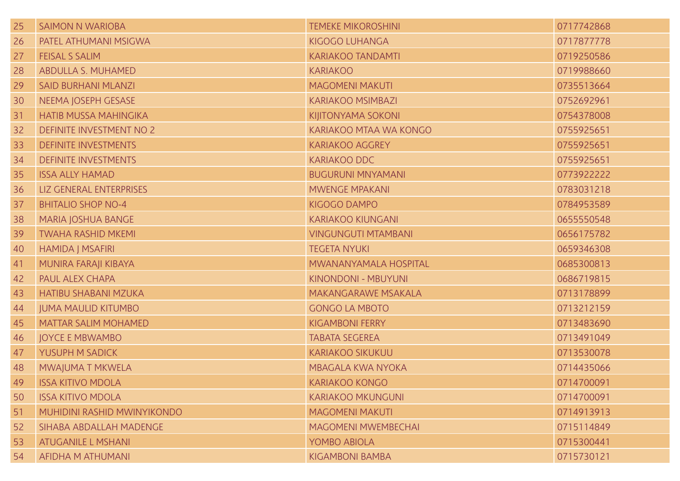| 25 | <b>SAIMON N WARIOBA</b>      | <b>TEMEKE MIKOROSHINI</b>  | 0717742868 |
|----|------------------------------|----------------------------|------------|
| 26 | <b>PATEL ATHUMANI MSIGWA</b> | KIGOGO LUHANGA             | 0717877778 |
| 27 | <b>FEISAL S SALIM</b>        | <b>KARIAKOO TANDAMTI</b>   | 0719250586 |
| 28 | ABDULLA S. MUHAMED           | <b>KARIAKOO</b>            | 0719988660 |
| 29 | <b>SAID BURHANI MLANZI</b>   | <b>MAGOMENI MAKUTI</b>     | 0735513664 |
| 30 | NEEMA JOSEPH GESASE          | <b>KARIAKOO MSIMBAZI</b>   | 0752692961 |
| 31 | <b>HATIB MUSSA MAHINGIKA</b> | KIJITONYAMA SOKONI         | 0754378008 |
| 32 | DEFINITE INVESTMENT NO 2     | KARIAKOO MTAA WA KONGO     | 0755925651 |
| 33 | <b>DEFINITE INVESTMENTS</b>  | <b>KARIAKOO AGGREY</b>     | 0755925651 |
| 34 | <b>DEFINITE INVESTMENTS</b>  | KARIAKOO DDC               | 0755925651 |
| 35 | <b>ISSA ALLY HAMAD</b>       | <b>BUGURUNI MNYAMANI</b>   | 0773922222 |
| 36 | LIZ GENERAL ENTERPRISES      | <b>MWENGE MPAKANI</b>      | 0783031218 |
| 37 | <b>BHITALIO SHOP NO-4</b>    | KIGOGO DAMPO               | 0784953589 |
| 38 | MARIA JOSHUA BANGE           | <b>KARIAKOO KIUNGANI</b>   | 0655550548 |
| 39 | <b>TWAHA RASHID MKEMI</b>    | <b>VINGUNGUTI MTAMBANI</b> | 0656175782 |
| 40 | <b>HAMIDA J MSAFIRI</b>      | <b>TEGETA NYUKI</b>        | 0659346308 |
| 41 | MUNIRA FARAJI KIBAYA         | MWANANYAMALA HOSPITAL      | 0685300813 |
| 42 | PAUL ALEX CHAPA              | KINONDONI - MBUYUNI        | 0686719815 |
| 43 | <b>HATIBU SHABANI MZUKA</b>  | MAKANGARAWE MSAKALA        | 0713178899 |
| 44 | <b>JUMA MAULID KITUMBO</b>   | <b>GONGO LA MBOTO</b>      | 0713212159 |
| 45 | <b>MATTAR SALIM MOHAMED</b>  | <b>KIGAMBONI FERRY</b>     | 0713483690 |
| 46 | <b>JOYCE E MBWAMBO</b>       | <b>TABATA SEGEREA</b>      | 0713491049 |
| 47 | YUSUPH M SADICK              | <b>KARIAKOO SIKUKUU</b>    | 0713530078 |
| 48 | MWAJUMA T MKWELA             | <b>MBAGALA KWA NYOKA</b>   | 0714435066 |
|    | 49 ISSA KITIVO MDOLA         | KARIAKOO KONGO             | 0714700091 |
| 50 | <b>ISSA KITIVO MDOLA</b>     | <b>KARIAKOO MKUNGUNI</b>   | 0714700091 |
| 51 | MUHIDINI RASHID MWINYIKONDO  | <b>MAGOMENI MAKUTI</b>     | 0714913913 |
| 52 | SIHABA ABDALLAH MADENGE      | <b>MAGOMENI MWEMBECHAI</b> | 0715114849 |
| 53 | <b>ATUGANILE L MSHANI</b>    | YOMBO ABIOLA               | 0715300441 |
| 54 | AFIDHA M ATHUMANI            | <b>KIGAMBONI BAMBA</b>     | 0715730121 |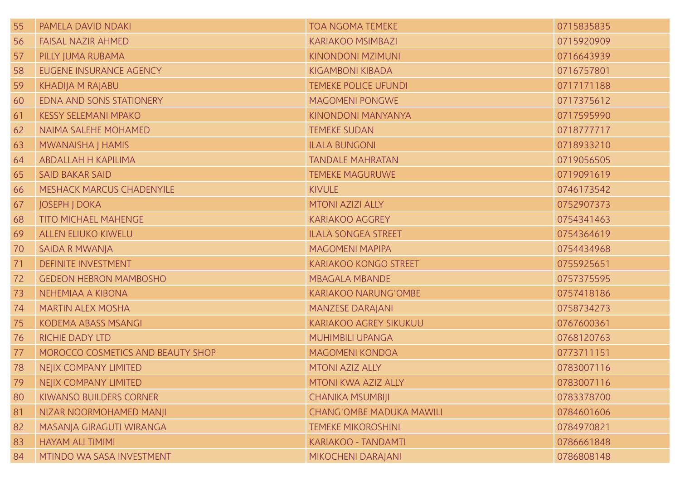| 55 | PAMELA DAVID NDAKI                | <b>TOA NGOMA TEMEKE</b>         | 0715835835 |
|----|-----------------------------------|---------------------------------|------------|
| 56 | <b>FAISAL NAZIR AHMED</b>         | <b>KARIAKOO MSIMBAZI</b>        | 0715920909 |
| 57 | PILLY JUMA RUBAMA                 | KINONDONI MZIMUNI               | 0716643939 |
| 58 | EUGENE INSURANCE AGENCY           | <b>KIGAMBONI KIBADA</b>         | 0716757801 |
| 59 | <b>KHADIJA M RAJABU</b>           | <b>TEMEKE POLICE UFUNDI</b>     | 0717171188 |
| 60 | EDNA AND SONS STATIONERY          | <b>MAGOMENI PONGWE</b>          | 0717375612 |
| 61 | <b>KESSY SELEMANI MPAKO</b>       | KINONDONI MANYANYA              | 0717595990 |
| 62 | NAIMA SALEHE MOHAMED              | <b>TEMEKE SUDAN</b>             | 0718777717 |
| 63 | MWANAISHA J HAMIS                 | <b>ILALA BUNGONI</b>            | 0718933210 |
| 64 | ABDALLAH H KAPILIMA               | <b>TANDALE MAHRATAN</b>         | 0719056505 |
| 65 | <b>SAID BAKAR SAID</b>            | <b>TEMEKE MAGURUWE</b>          | 0719091619 |
| 66 | MESHACK MARCUS CHADENYILE         | <b>KIVULE</b>                   | 0746173542 |
| 67 | <b>JOSEPH J DOKA</b>              | MTONI AZIZI ALLY                | 0752907373 |
| 68 | <b>TITO MICHAEL MAHENGE</b>       | <b>KARIAKOO AGGREY</b>          | 0754341463 |
| 69 | <b>ALLEN ELIUKO KIWELU</b>        | <b>ILALA SONGEA STREET</b>      | 0754364619 |
| 70 | <b>SAIDA R MWANJA</b>             | <b>MAGOMENI MAPIPA</b>          | 0754434968 |
| 71 | <b>DEFINITE INVESTMENT</b>        | <b>KARIAKOO KONGO STREET</b>    | 0755925651 |
| 72 | <b>GEDEON HEBRON MAMBOSHO</b>     | <b>MBAGALA MBANDE</b>           | 0757375595 |
| 73 | NEHEMIAA A KIBONA                 | KARIAKOO NARUNG'OMBE            | 0757418186 |
| 74 | <b>MARTIN ALEX MOSHA</b>          | <b>MANZESE DARAJANI</b>         | 0758734273 |
| 75 | <b>KODEMA ABASS MSANGI</b>        | <b>KARIAKOO AGREY SIKUKUU</b>   | 0767600361 |
| 76 | <b>RICHIE DADY LTD</b>            | MUHIMBILI UPANGA                | 0768120763 |
| 77 | MOROCCO COSMETICS AND BEAUTY SHOP | <b>MAGOMENI KONDOA</b>          | 0773711151 |
| 78 | NEJIX COMPANY LIMITED             | MTONI AZIZ ALLY                 | 0783007116 |
|    | 79 NEJIX COMPANY LIMITED          | MTONI KWA AZIZ ALLY             | 0783007116 |
| 80 | KIWANSO BUILDERS CORNER           | <b>CHANIKA MSUMBIJI</b>         | 0783378700 |
| 81 | NIZAR NOORMOHAMED MANJI           | <b>CHANG'OMBE MADUKA MAWILI</b> | 0784601606 |
| 82 | MASANJA GIRAGUTI WIRANGA          | <b>TEMEKE MIKOROSHINI</b>       | 0784970821 |
| 83 | <b>HAYAM ALI TIMIMI</b>           | KARIAKOO - TANDAMTI             | 0786661848 |
| 84 | MTINDO WA SASA INVESTMENT         | MIKOCHENI DARAJANI              | 0786808148 |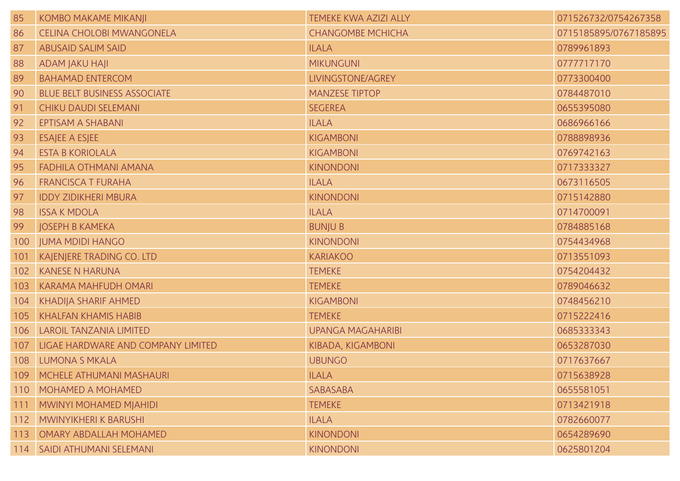| 85  | KOMBO MAKAME MIKANJI                | <b>TEMEKE KWA AZIZI ALLY</b> | 071526732/0754267358  |
|-----|-------------------------------------|------------------------------|-----------------------|
| 86  | <b>CELINA CHOLOBI MWANGONELA</b>    | <b>CHANGOMBE MCHICHA</b>     | 0715185895/0767185895 |
| 87  | <b>ABUSAID SALIM SAID</b>           | <b>ILALA</b>                 | 0789961893            |
| 88  | ADAM JAKU HAJI                      | <b>MIKUNGUNI</b>             | 0777717170            |
| 89  | <b>BAHAMAD ENTERCOM</b>             | LIVINGSTONE/AGREY            | 0773300400            |
| 90  | <b>BLUE BELT BUSINESS ASSOCIATE</b> | <b>MANZESE TIPTOP</b>        | 0784487010            |
| 91  | <b>CHIKU DAUDI SELEMANI</b>         | <b>SEGEREA</b>               | 0655395080            |
| 92  | EPTISAM A SHABANI                   | <b>ILALA</b>                 | 0686966166            |
| 93  | <b>ESAJEE A ESJEE</b>               | <b>KIGAMBONI</b>             | 0788898936            |
| 94  | <b>ESTA B KORIOLALA</b>             | <b>KIGAMBONI</b>             | 0769742163            |
| 95  | <b>FADHILA OTHMANI AMANA</b>        | <b>KINONDONI</b>             | 0717333327            |
| 96  | <b>FRANCISCA T FURAHA</b>           | <b>ILALA</b>                 | 0673116505            |
| 97  | <b>IDDY ZIDIKHERI MBURA</b>         | <b>KINONDONI</b>             | 0715142880            |
| 98  | <b>ISSA K MDOLA</b>                 | <b>ILALA</b>                 | 0714700091            |
| 99  | <b>JOSEPH B KAMEKA</b>              | <b>BUNJUB</b>                | 0784885168            |
| 100 | <b>JUMA MDIDI HANGO</b>             | <b>KINONDONI</b>             | 0754434968            |
| 101 | KAJENJERE TRADING CO. LTD           | <b>KARIAKOO</b>              | 0713551093            |
| 102 | <b>KANESE N HARUNA</b>              | <b>TEMEKE</b>                | 0754204432            |
| 103 | KARAMA MAHFUDH OMARI                | <b>TEMEKE</b>                | 0789046632            |
| 104 | KHADIJA SHARIF AHMED                | <b>KIGAMBONI</b>             | 0748456210            |
| 105 | <b>KHALFAN KHAMIS HABIB</b>         | <b>TEMEKE</b>                | 0715222416            |
| 106 | <b>LAROIL TANZANIA LIMITED</b>      | <b>UPANGA MAGAHARIBI</b>     | 0685333343            |
| 107 | LIGAE HARDWARE AND COMPANY LIMITED  | KIBADA, KIGAMBONI            | 0653287030            |
| 108 | <b>LUMONA S MKALA</b>               | <b>UBUNGO</b>                | 0717637667            |
|     | 109   MCHELE ATHUMANI MASHAURI      | <b>ILALA</b>                 | 0715638928            |
| 110 | MOHAMED A MOHAMED                   | SABASABA                     | 0655581051            |
| 111 | MWINYI MOHAMED MJAHIDI              | <b>TEMEKE</b>                | 0713421918            |
| 112 | MWINYIKHERI K BARUSHI               | <b>ILALA</b>                 | 0782660077            |
| 113 | <b>OMARY ABDALLAH MOHAMED</b>       | <b>KINONDONI</b>             | 0654289690            |
|     | 114   SAIDI ATHUMANI SELEMANI       | <b>KINONDONI</b>             | 0625801204            |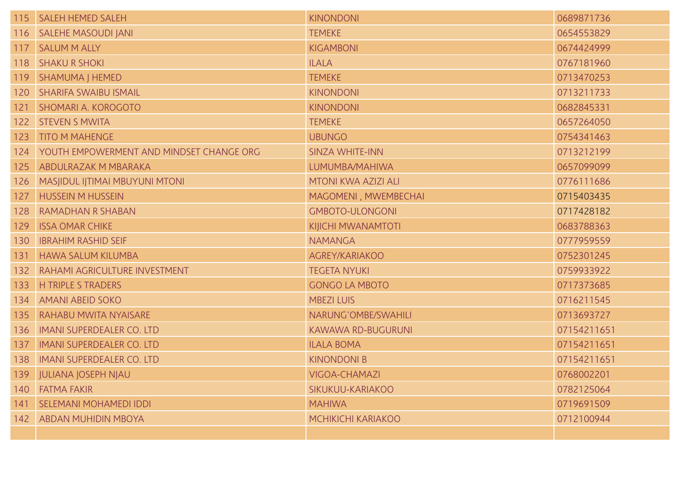|     | 115   SALEH HEMED SALEH                      | <b>KINONDONI</b>          | 0689871736  |
|-----|----------------------------------------------|---------------------------|-------------|
|     | 116   SALEHE MASOUDI JANI                    | <b>TEMEKE</b>             | 0654553829  |
|     | 117   SALUM M ALLY                           | KIGAMBONI                 | 0674424999  |
|     | 118   SHAKU R SHOKI                          | <b>ILALA</b>              | 0767181960  |
|     | 119   SHAMUMA J HEMED                        | <b>TEMEKE</b>             | 0713470253  |
| 120 | <b>SHARIFA SWAIBU ISMAIL</b>                 | <b>KINONDONI</b>          | 0713211733  |
| 121 | <b>SHOMARI A. KOROGOTO</b>                   | <b>KINONDONI</b>          | 0682845331  |
|     | 122 STEVEN S MWITA                           | <b>TEMEKE</b>             | 0657264050  |
| 123 | <b>TITO M MAHENGE</b>                        | <b>UBUNGO</b>             | 0754341463  |
|     | 124 YOUTH EMPOWERMENT AND MINDSET CHANGE ORG | <b>SINZA WHITE-INN</b>    | 0713212199  |
| 125 | ABDULRAZAK M MBARAKA                         | LUMUMBA/MAHIWA            | 0657099099  |
| 126 | <b>MASJIDUL IJTIMAI MBUYUNI MTONI</b>        | MTONI KWA AZIZI ALI       | 0776111686  |
| 127 | <b>HUSSEIN M HUSSEIN</b>                     | MAGOMENI, MWEMBECHAI      | 0715403435  |
| 128 | RAMADHAN R SHABAN                            | <b>GMBOTO-ULONGONI</b>    | 0717428182  |
| 129 | <b>ISSA OMAR CHIKE</b>                       | KIJICHI MWANAMTOTI        | 0683788363  |
| 130 | <b>IBRAHIM RASHID SEIF</b>                   | <b>NAMANGA</b>            | 0777959559  |
| 131 | <b>HAWA SALUM KILUMBA</b>                    | AGREY/KARIAKOO            | 0752301245  |
| 132 | <b>RAHAMI AGRICULTURE INVESTMENT</b>         | <b>TEGETA NYUKI</b>       | 0759933922  |
| 133 | <b>H TRIPLE S TRADERS</b>                    | <b>GONGO LA MBOTO</b>     | 0717373685  |
| 134 | <b>AMANI ABEID SOKO</b>                      | <b>MBEZI LUIS</b>         | 0716211545  |
| 135 | <b>RAHABU MWITA NYAISARE</b>                 | NARUNG'OMBE/SWAHILI       | 0713693727  |
| 136 | <b>IMANI SUPERDEALER CO. LTD</b>             | <b>KAWAWA RD-BUGURUNI</b> | 07154211651 |
| 137 | <b>IMANI SUPERDEALER CO. LTD</b>             | <b>ILALA BOMA</b>         | 07154211651 |
| 138 | <b>IMANI SUPERDEALER CO. LTD</b>             | <b>KINONDONI B</b>        | 07154211651 |
|     | 139 JULIANA JOSEPH NJAU                      | VIGOA-CHAMAZI             | 0768002201  |
|     | 140 FATMA FAKIR                              | SIKUKUU-KARIAKOO          | 0782125064  |
| 141 | SELEMANI MOHAMEDI IDDI                       | <b>MAHIWA</b>             | 0719691509  |
|     | 142   ABDAN MUHIDIN MBOYA                    | MCHIKICHI KARIAKOO        | 0712100944  |
|     |                                              |                           |             |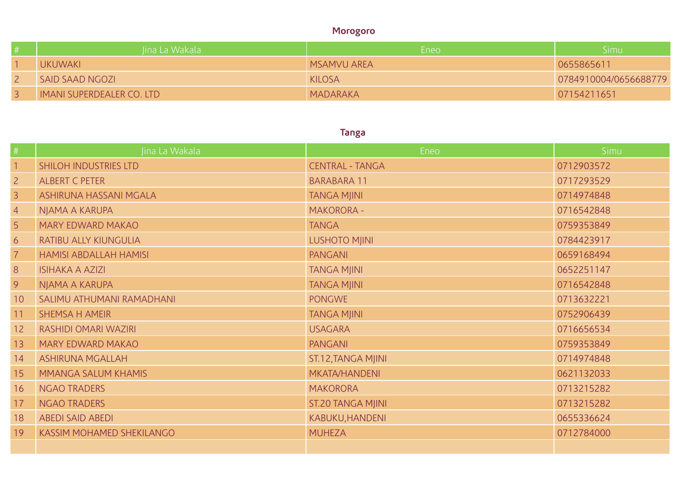### **Morogoro**

| Jina La Wakala                   | Eneo                 | Simu                  |
|----------------------------------|----------------------|-----------------------|
| <b>UKUWAKI</b>                   | <b>I MSAMVU AREA</b> | 0655865611            |
| SAID SAAD NGOZI                  | <b>KILOSA</b>        | 0784910004/0656688779 |
| <b>IMANI SUPERDEALER CO. LTD</b> | MADARAKA             | 07154211651           |

# **Tanga**

|                         | Jina La Wakala                | Eneo                     | <b>Simu</b> |
|-------------------------|-------------------------------|--------------------------|-------------|
| $\overline{\mathbf{1}}$ | SHILOH INDUSTRIES LTD         | <b>CENTRAL - TANGA</b>   | 0712903572  |
| $\overline{2}$          | <b>ALBERT C PETER</b>         | <b>BARABARA 11</b>       | 0717293529  |
| $\overline{3}$          | ASHIRUNA HASSANI MGALA        | <b>TANGA MJINI</b>       | 0714974848  |
| $\overline{4}$          | NJAMA A KARUPA                | <b>MAKORORA -</b>        | 0716542848  |
| 5 <sup>1</sup>          | MARY EDWARD MAKAO             | <b>TANGA</b>             | 0759353849  |
| 6                       | RATIBU ALLY KIUNGULIA         | <b>LUSHOTO MJINI</b>     | 0784423917  |
| $\overline{7}$          | <b>HAMISI ABDALLAH HAMISI</b> | PANGANI                  | 0659168494  |
| 8                       | <b>ISIHAKA A AZIZI</b>        | <b>TANGA MJINI</b>       | 0652251147  |
| 9                       | NJAMA A KARUPA                | <b>TANGA MJINI</b>       | 0716542848  |
| 10 <sup>°</sup>         | SALIMU ATHUMANI RAMADHANI     | <b>PONGWE</b>            | 0713632221  |
| 11                      | <b>SHEMSA H AMEIR</b>         | <b>TANGA MJINI</b>       | 0752906439  |
| 12                      | RASHIDI OMARI WAZIRI          | <b>USAGARA</b>           | 0716656534  |
| 13                      | MARY EDWARD MAKAO             | PANGANI                  | 0759353849  |
| 14                      | <b>ASHIRUNA MGALLAH</b>       | ST.12, TANGA MJINI       | 0714974848  |
| 15                      | MMANGA SALUM KHAMIS           | <b>MKATA/HANDENI</b>     | 0621132033  |
| 16                      | <b>NGAO TRADERS</b>           | <b>MAKORORA</b>          | 0713215282  |
| 17                      | <b>NGAO TRADERS</b>           | <b>ST.20 TANGA MJINI</b> | 0713215282  |
| 18                      | <b>ABEDI SAID ABEDI</b>       | KABUKU, HANDENI          | 0655336624  |
| 19                      | KASSIM MOHAMED SHEKILANGO     | <b>MUHEZA</b>            | 0712784000  |
|                         |                               |                          |             |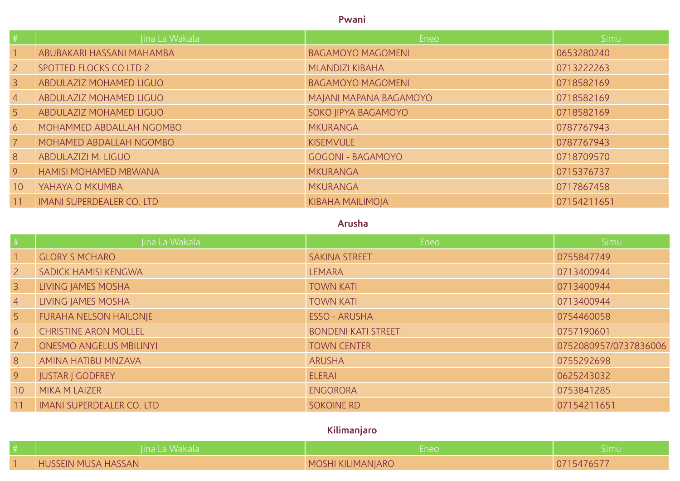#### **Pwani**

| #               | Jina La Wakala                   | Eneo                     | Simu        |
|-----------------|----------------------------------|--------------------------|-------------|
|                 | ABUBAKARI HASSANI MAHAMBA        | <b>BAGAMOYO MAGOMENI</b> | 0653280240  |
| $\overline{2}$  | SPOTTED FLOCKS CO LTD 2          | <b>MLANDIZI KIBAHA</b>   | 0713222263  |
| $\mathcal{E}$   | ABDULAZIZ MOHAMED LIGUO          | <b>BAGAMOYO MAGOMENI</b> | 0718582169  |
| $\overline{4}$  | ABDULAZIZ MOHAMED LIGUO          | MAJANI MAPANA BAGAMOYO   | 0718582169  |
| 5 <sup>1</sup>  | ABDULAZIZ MOHAMED LIGUO          | SOKO JIPYA BAGAMOYO      | 0718582169  |
| 6 <sup>6</sup>  | MOHAMMED ABDALLAH NGOMBO         | <b>MKURANGA</b>          | 0787767943  |
| $\overline{7}$  | MOHAMED ABDALLAH NGOMBO          | <b>KISEMVULE</b>         | 0787767943  |
| 8               | ABDULAZIZI M. LIGUO              | <b>GOGONI - BAGAMOYO</b> | 0718709570  |
| 9               | <b>HAMISI MOHAMED MBWANA</b>     | <b>MKURANGA</b>          | 0715376737  |
| 10 <sup>°</sup> | YAHAYA O MKUMBA                  | <b>MKURANGA</b>          | 0717867458  |
| 11              | <b>IMANI SUPERDEALER CO. LTD</b> | <b>KIBAHA MAILIMOJA</b>  | 07154211651 |

### **Arusha**

| #              | Jina La Wakala                   | Eneo                       | Simu                  |
|----------------|----------------------------------|----------------------------|-----------------------|
|                | <b>GLORY S MCHARO</b>            | <b>SAKINA STREET</b>       | 0755847749            |
| 2 <sup>1</sup> | SADICK HAMISI KENGWA             | <b>LEMARA</b>              | 0713400944            |
| $\overline{3}$ | LIVING JAMES MOSHA               | <b>TOWN KATI</b>           | 0713400944            |
| $\overline{4}$ | LIVING JAMES MOSHA               | <b>TOWN KATI</b>           | 0713400944            |
| 5 <sup>5</sup> | <b>FURAHA NELSON HAILONJE</b>    | <b>ESSO - ARUSHA</b>       | 0754460058            |
| 6              | <b>CHRISTINE ARON MOLLEL</b>     | <b>BONDENI KATI STREET</b> | 0757190601            |
| $\overline{7}$ | <b>ONESMO ANGELUS MBILINYI</b>   | <b>TOWN CENTER</b>         | 0752080957/0737836006 |
| 8              | AMINA HATIBU MNZAVA              | <b>ARUSHA</b>              | 0755292698            |
| 9              | <b>JUSTAR J GODFREY</b>          | <b>ELERAI</b>              | 0625243032            |
| 10             | <b>MIKA M LAIZER</b>             | <b>ENGORORA</b>            | 0753841285            |
| 11             | <b>IMANI SUPERDEALER CO. LTD</b> | <b>SOKOINE RD</b>          | 07154211651           |

# **Kilimanjaro**

| lina La Wakala             | -neo              | nuld     |
|----------------------------|-------------------|----------|
| <b>HUSSEIN MUSA HASSAN</b> | MOSHI KILIMANJARO | 15476577 |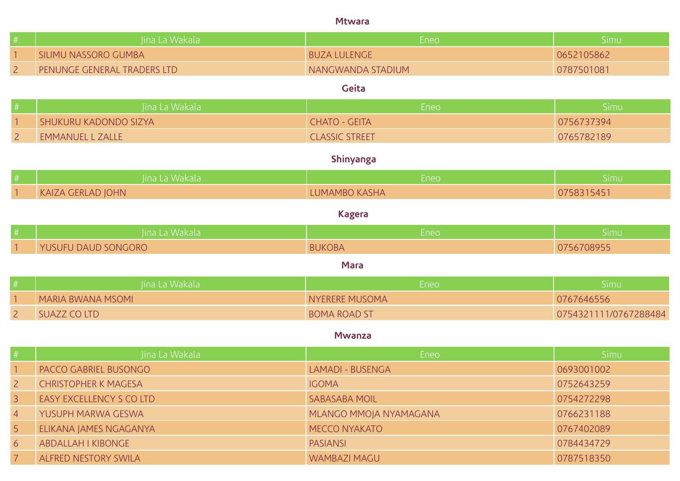#### **Mtwara**

|                | Jina La Wakala              | Eneo                    | Simu                  |
|----------------|-----------------------------|-------------------------|-----------------------|
|                | SILIMU NASSORO GUMBA        | <b>BUZA LULENGE</b>     | 0652105862            |
| $\overline{2}$ | PENUNGE GENERAL TRADERS LTD | NANGWANDA STADIUM       | 0787501081            |
|                |                             | Geita                   |                       |
|                | Jina La Wakala              | Eneo                    | Simu                  |
|                | SHUKURU KADONDO SIZYA       | <b>CHATO - GEITA</b>    | 0756737394            |
| $\overline{2}$ | <b>EMMANUEL L ZALLE</b>     | <b>CLASSIC STREET</b>   | 0765782189            |
|                |                             | Shinyanga               |                       |
|                | Jina La Wakala              | Eneo                    | Simu                  |
|                | <b>KAIZA GERLAD JOHN</b>    | LUMAMBO KASHA           | 0758315451            |
|                |                             | <b>Kagera</b>           |                       |
|                | Jina La Wakala              | Eneo                    | Simu                  |
|                | YUSUFU DAUD SONGORO         | <b>BUKOBA</b>           | 0756708955            |
|                |                             | <b>Mara</b>             |                       |
|                | Jina La Wakala              | Eneo                    | Simu                  |
|                | <b>MARIA BWANA MSOMI</b>    | <b>NYERERE MUSOMA</b>   | 0767646556            |
| $\overline{2}$ | <b>SUAZZ CO LTD</b>         | <b>BOMA ROAD ST</b>     | 0754321111/0767288484 |
|                |                             | <b>Mwanza</b>           |                       |
|                | Jina La Wakala              | Eneo                    | Simu                  |
|                | PACCO GABRIEL BUSONGO       | <b>LAMADI - BUSENGA</b> | 0693001002            |
| $\overline{2}$ | <b>CHRISTOPHER K MAGESA</b> | <b>IGOMA</b>            | 0752643259            |
| $\overline{3}$ | EASY EXCELLENCY S CO LTD    | <b>SABASABA MOIL</b>    | 0754272298            |
| $\overline{4}$ | YUSUPH MARWA GESWA          | MLANGO MMOJA NYAMAGANA  | 0766231188            |
| 5              | ELIKANA JAMES NGAGANYA      | <b>MECCO NYAKATO</b>    | 0767402089            |
| 6              | ABDALLAH I KIBONGE          | <b>PASIANSI</b>         | 0784434729            |

**7 ALFRED NESTORY SWILA NESTORY SWILA REPORT OF A STATE OF A STATE OF A STATE OF A STATE OF A STATE OF A STATE OF A STATE OF A STATE OF A STATE OF A STATE OF A STATE OF A STATE OF A STATE OF A STATE OF A STATE OF A STATE O**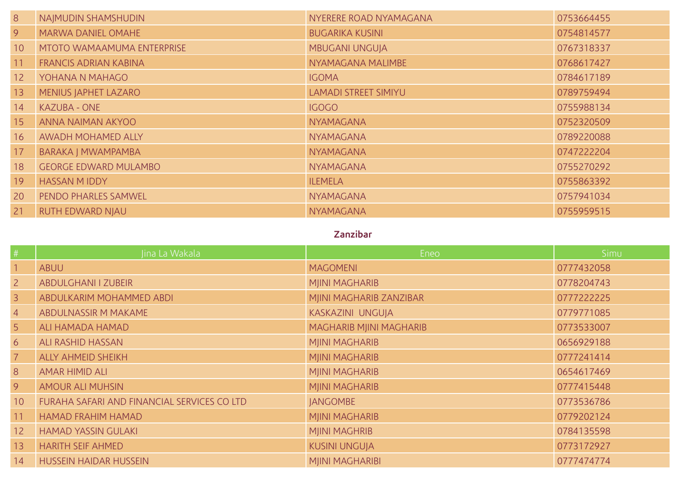| 8               | NAJMUDIN SHAMSHUDIN               | NYERERE ROAD NYAMAGANA      | 0753664455 |
|-----------------|-----------------------------------|-----------------------------|------------|
| 9 <sup>°</sup>  | <b>MARWA DANIEL OMAHE</b>         | <b>BUGARIKA KUSINI</b>      | 0754814577 |
| 10 <sup>°</sup> | <b>MTOTO WAMAAMUMA ENTERPRISE</b> | <b>MBUGANI UNGUJA</b>       | 0767318337 |
| 11              | <b>FRANCIS ADRIAN KABINA</b>      | NYAMAGANA MALIMBE           | 0768617427 |
| 12 <sup>2</sup> | YOHANA N MAHAGO                   | <b>IGOMA</b>                | 0784617189 |
| 13              | MENIUS JAPHET LAZARO              | <b>LAMADI STREET SIMIYU</b> | 0789759494 |
| 14              | <b>KAZUBA - ONE</b>               | <b>IGOGO</b>                | 0755988134 |
| 15              | ANNA NAIMAN AKYOO                 | <b>NYAMAGANA</b>            | 0752320509 |
| 16              | AWADH MOHAMED ALLY                | <b>NYAMAGANA</b>            | 0789220088 |
| 17              | BARAKA J MWAMPAMBA                | <b>NYAMAGANA</b>            | 0747222204 |
| 18              | <b>GEORGE EDWARD MULAMBO</b>      | <b>NYAMAGANA</b>            | 0755270292 |
| 19              | <b>HASSAN MIDDY</b>               | <b>ILEMELA</b>              | 0755863392 |
| 20              | PENDO PHARLES SAMWEL              | <b>NYAMAGANA</b>            | 0757941034 |
| 21              | <b>RUTH EDWARD NJAU</b>           | <b>NYAMAGANA</b>            | 0755959515 |

### **Zanzibar**

| #               | Jina La Wakala                              | Eneo                    | Simu       |
|-----------------|---------------------------------------------|-------------------------|------------|
|                 | <b>ABUU</b>                                 | <b>MAGOMENI</b>         | 0777432058 |
| 2 <sup>1</sup>  | <b>ABDULGHANI I ZUBEIR</b>                  | <b>MJINI MAGHARIB</b>   | 0778204743 |
| $\overline{3}$  | ABDULKARIM MOHAMMED ABDI                    | MJINI MAGHARIB ZANZIBAR | 0777222225 |
| $\overline{4}$  | ABDULNASSIR M MAKAME                        | KASKAZINI UNGUJA        | 0779771085 |
| 5 <sup>5</sup>  | ALI HAMADA HAMAD                            | MAGHARIB MJINI MAGHARIB | 0773533007 |
| 6               | <b>ALI RASHID HASSAN</b>                    | <b>MJINI MAGHARIB</b>   | 0656929188 |
| $\overline{7}$  | <b>ALLY AHMEID SHEIKH</b>                   | <b>MJINI MAGHARIB</b>   | 0777241414 |
| 8               | <b>AMAR HIMID ALI</b>                       | <b>MJINI MAGHARIB</b>   | 0654617469 |
| 9 <sup>°</sup>  | <b>AMOUR ALI MUHSIN</b>                     | <b>MJINI MAGHARIB</b>   | 0777415448 |
| 10 <sup>°</sup> | FURAHA SAFARI AND FINANCIAL SERVICES CO LTD | <b>JANGOMBE</b>         | 0773536786 |
| 11              | <b>HAMAD FRAHIM HAMAD</b>                   | <b>MJINI MAGHARIB</b>   | 0779202124 |
| 12 <sup>2</sup> | <b>HAMAD YASSIN GULAKI</b>                  | <b>MJINI MAGHRIB</b>    | 0784135598 |
| 13              | <b>HARITH SEIF AHMED</b>                    | <b>KUSINI UNGUJA</b>    | 0773172927 |
| 14              | <b>HUSSEIN HAIDAR HUSSEIN</b>               | <b>MJINI MAGHARIBI</b>  | 0777474774 |